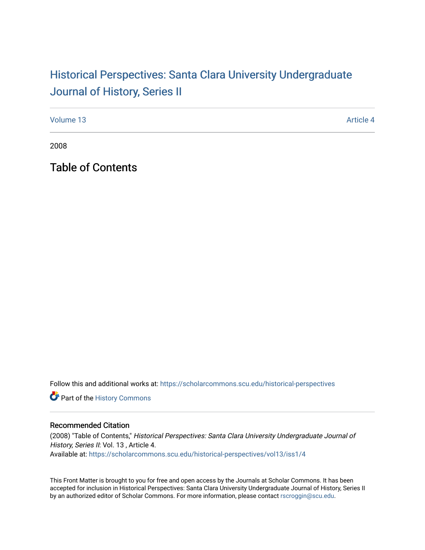# Historical Perspectiv[es: Santa Clara University Under](https://scholarcommons.scu.edu/historical-perspectives)graduate [Journal of History, Series II](https://scholarcommons.scu.edu/historical-perspectives)

[Volume 13](https://scholarcommons.scu.edu/historical-perspectives/vol13) Article 4

2008

Table of Contents

Follow this and additional works at: [https://scholarcommons.scu.edu/historical-perspectives](https://scholarcommons.scu.edu/historical-perspectives?utm_source=scholarcommons.scu.edu%2Fhistorical-perspectives%2Fvol13%2Fiss1%2F4&utm_medium=PDF&utm_campaign=PDFCoverPages) 

Part of the [History Commons](http://network.bepress.com/hgg/discipline/489?utm_source=scholarcommons.scu.edu%2Fhistorical-perspectives%2Fvol13%2Fiss1%2F4&utm_medium=PDF&utm_campaign=PDFCoverPages) 

### Recommended Citation

(2008) "Table of Contents," Historical Perspectives: Santa Clara University Undergraduate Journal of History, Series II: Vol. 13, Article 4. Available at: [https://scholarcommons.scu.edu/historical-perspectives/vol13/iss1/4](https://scholarcommons.scu.edu/historical-perspectives/vol13/iss1/4?utm_source=scholarcommons.scu.edu%2Fhistorical-perspectives%2Fvol13%2Fiss1%2F4&utm_medium=PDF&utm_campaign=PDFCoverPages) 

This Front Matter is brought to you for free and open access by the Journals at Scholar Commons. It has been accepted for inclusion in Historical Perspectives: Santa Clara University Undergraduate Journal of History, Series II by an authorized editor of Scholar Commons. For more information, please contact [rscroggin@scu.edu.](mailto:rscroggin@scu.edu)